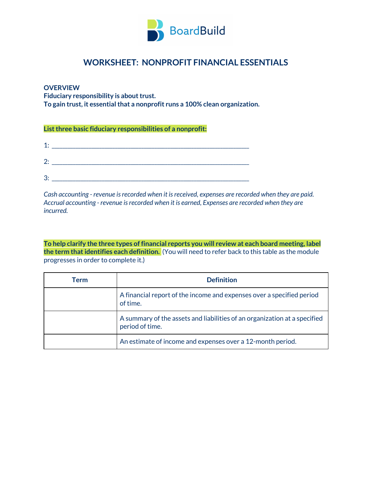

# **WORKSHEET: NONPROFIT FINANCIAL ESSENTIALS**

**OVERVIEW**

**Fiduciary responsibility is about trust.** 

**To gain trust, it essentialthat a nonprofit runs a 100% clean organization.**

**Listthree basic fiduciary responsibilities of a nonprofit:**

| $1 \cdot$ |  |
|-----------|--|
| 2:        |  |
| 3:        |  |

*Cash accounting - revenue isrecorded when it isreceived, expenses are recorded when they are paid. Accrual accounting - revenue isrecorded when it is earned, Expenses are recorded when they are incurred.*

**To help clarify the three types of financial reports you will review at each board meeting, label the term thatidentifies each definition.** (You will need to refer back to this table as the module progresses in order to complete it.)

| Term | <b>Definition</b>                                                                            |
|------|----------------------------------------------------------------------------------------------|
|      | A financial report of the income and expenses over a specified period<br>of time.            |
|      | A summary of the assets and liabilities of an organization at a specified<br>period of time. |
|      | An estimate of income and expenses over a 12-month period.                                   |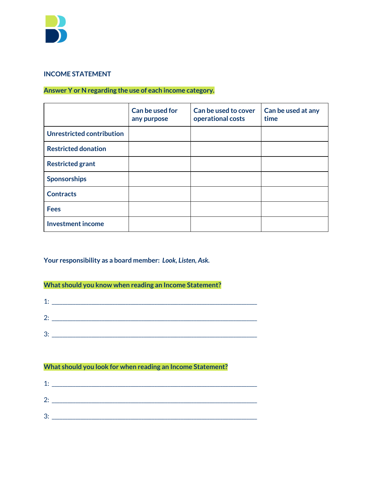

### **INCOME STATEMENT**

# **Answer Y or N regarding the use of each income category.**

|                                  | Can be used for<br>any purpose | Can be used to cover<br>operational costs | Can be used at any<br>time |
|----------------------------------|--------------------------------|-------------------------------------------|----------------------------|
| <b>Unrestricted contribution</b> |                                |                                           |                            |
| <b>Restricted donation</b>       |                                |                                           |                            |
| <b>Restricted grant</b>          |                                |                                           |                            |
| <b>Sponsorships</b>              |                                |                                           |                            |
| <b>Contracts</b>                 |                                |                                           |                            |
| <b>Fees</b>                      |                                |                                           |                            |
| <b>Investment income</b>         |                                |                                           |                            |

# **Your responsibility as a board member:** *Look, Listen, Ask.*

# **What should you know when reading an Income Statement?**

| 1: |  |  |  |
|----|--|--|--|
| 2: |  |  |  |
| 3: |  |  |  |

# **What should you look for when reading an Income Statement?**

| -31 |  |
|-----|--|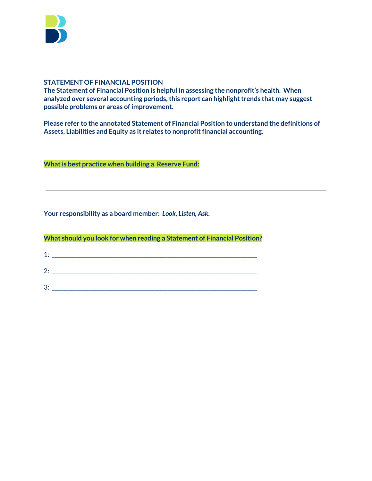

#### **STATEMENT OF FINANCIAL POSITION**

**The Statement of Financial Position is helpful in assessing the nonprofit's health. When analyzed over several accounting periods,this report can highlighttrends that may suggest possible problems or areas of improvement.**

**Please refer to the annotated Statement of Financial Position to understand the definitions of Assets, Liabilities and Equity as it relates to nonprofitfinancial accounting.**

**What is best practice when building a Reserve Fund:** 

**Your responsibility as a board member:** *Look, Listen, Ask***.**

**What should you look for when reading a Statement of Financial Position?**

| 1:      |  |  |
|---------|--|--|
| 2:      |  |  |
| ი.<br>J |  |  |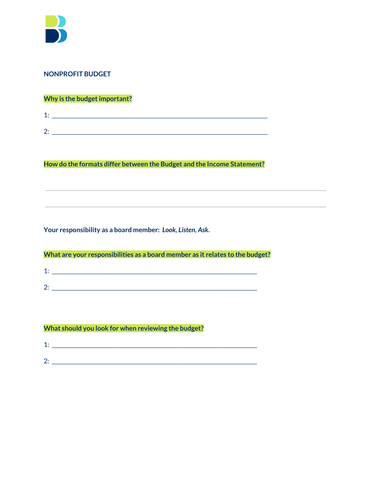

# **NONPROFIT BUDGET**

**Why** is the budget important?

|               | _____ |  | _____ |
|---------------|-------|--|-------|
|               |       |  |       |
| ◠<br><u>_</u> |       |  | _____ |

**How do the formats differ between the Budget and the Income Statement?**

**Your responsibility as a board member:** *Look, Listen, Ask***.**

**What are your responsibilities as a board member as it relates to the budget?**

|  | __________<br>__ | __ |  |
|--|------------------|----|--|

#### **What should you look for when reviewing the budget?**

| и.<br>. . |  |  |
|-----------|--|--|
|           |  |  |
| n.<br>-   |  |  |